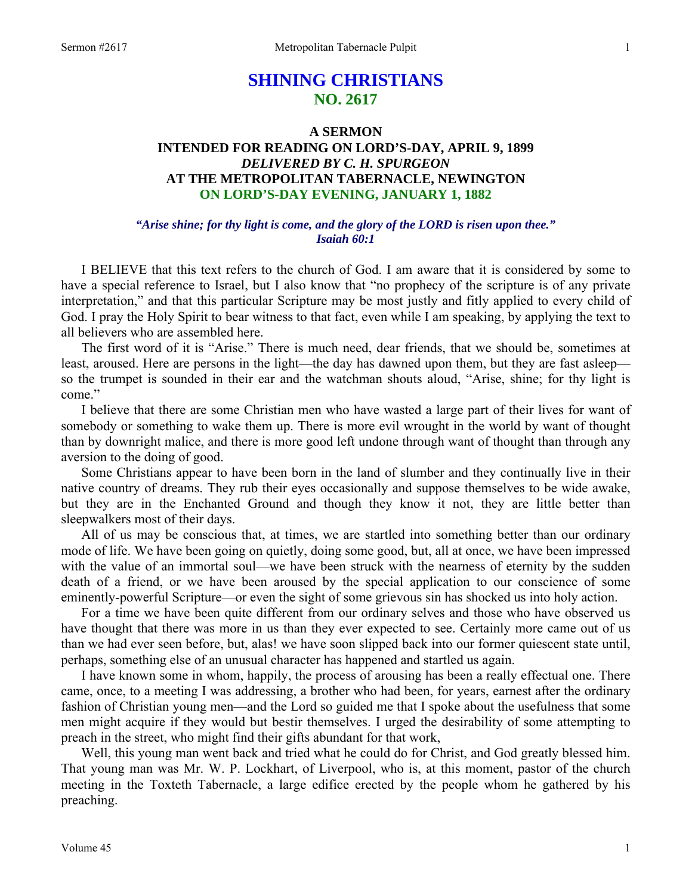# **SHINING CHRISTIANS NO. 2617**

# **A SERMON INTENDED FOR READING ON LORD'S-DAY, APRIL 9, 1899**  *DELIVERED BY C. H. SPURGEON*  **AT THE METROPOLITAN TABERNACLE, NEWINGTON ON LORD'S-DAY EVENING, JANUARY 1, 1882**

### *"Arise shine; for thy light is come, and the glory of the LORD is risen upon thee." Isaiah 60:1*

I BELIEVE that this text refers to the church of God. I am aware that it is considered by some to have a special reference to Israel, but I also know that "no prophecy of the scripture is of any private interpretation," and that this particular Scripture may be most justly and fitly applied to every child of God. I pray the Holy Spirit to bear witness to that fact, even while I am speaking, by applying the text to all believers who are assembled here.

The first word of it is "Arise." There is much need, dear friends, that we should be, sometimes at least, aroused. Here are persons in the light—the day has dawned upon them, but they are fast asleep so the trumpet is sounded in their ear and the watchman shouts aloud, "Arise, shine; for thy light is come."

I believe that there are some Christian men who have wasted a large part of their lives for want of somebody or something to wake them up. There is more evil wrought in the world by want of thought than by downright malice, and there is more good left undone through want of thought than through any aversion to the doing of good.

Some Christians appear to have been born in the land of slumber and they continually live in their native country of dreams. They rub their eyes occasionally and suppose themselves to be wide awake, but they are in the Enchanted Ground and though they know it not, they are little better than sleepwalkers most of their days.

All of us may be conscious that, at times, we are startled into something better than our ordinary mode of life. We have been going on quietly, doing some good, but, all at once, we have been impressed with the value of an immortal soul—we have been struck with the nearness of eternity by the sudden death of a friend, or we have been aroused by the special application to our conscience of some eminently-powerful Scripture—or even the sight of some grievous sin has shocked us into holy action.

For a time we have been quite different from our ordinary selves and those who have observed us have thought that there was more in us than they ever expected to see. Certainly more came out of us than we had ever seen before, but, alas! we have soon slipped back into our former quiescent state until, perhaps, something else of an unusual character has happened and startled us again.

I have known some in whom, happily, the process of arousing has been a really effectual one. There came, once, to a meeting I was addressing, a brother who had been, for years, earnest after the ordinary fashion of Christian young men—and the Lord so guided me that I spoke about the usefulness that some men might acquire if they would but bestir themselves. I urged the desirability of some attempting to preach in the street, who might find their gifts abundant for that work,

Well, this young man went back and tried what he could do for Christ, and God greatly blessed him. That young man was Mr. W. P. Lockhart, of Liverpool, who is, at this moment, pastor of the church meeting in the Toxteth Tabernacle, a large edifice erected by the people whom he gathered by his preaching.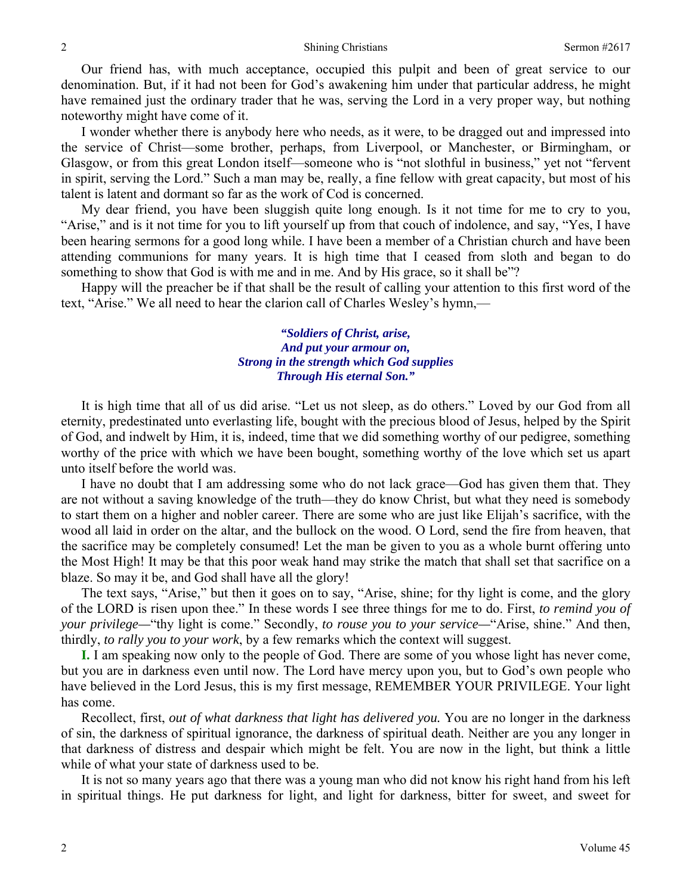Our friend has, with much acceptance, occupied this pulpit and been of great service to our denomination. But, if it had not been for God's awakening him under that particular address, he might have remained just the ordinary trader that he was, serving the Lord in a very proper way, but nothing noteworthy might have come of it.

I wonder whether there is anybody here who needs, as it were, to be dragged out and impressed into the service of Christ—some brother, perhaps, from Liverpool, or Manchester, or Birmingham, or Glasgow, or from this great London itself—someone who is "not slothful in business," yet not "fervent in spirit, serving the Lord." Such a man may be, really, a fine fellow with great capacity, but most of his talent is latent and dormant so far as the work of Cod is concerned.

My dear friend, you have been sluggish quite long enough. Is it not time for me to cry to you, "Arise," and is it not time for you to lift yourself up from that couch of indolence, and say, "Yes, I have been hearing sermons for a good long while. I have been a member of a Christian church and have been attending communions for many years. It is high time that I ceased from sloth and began to do something to show that God is with me and in me. And by His grace, so it shall be"?

Happy will the preacher be if that shall be the result of calling your attention to this first word of the text, "Arise." We all need to hear the clarion call of Charles Wesley's hymn,—

> *"Soldiers of Christ, arise, And put your armour on, Strong in the strength which God supplies Through His eternal Son."*

It is high time that all of us did arise. "Let us not sleep, as do others." Loved by our God from all eternity, predestinated unto everlasting life, bought with the precious blood of Jesus, helped by the Spirit of God, and indwelt by Him, it is, indeed, time that we did something worthy of our pedigree, something worthy of the price with which we have been bought, something worthy of the love which set us apart unto itself before the world was.

I have no doubt that I am addressing some who do not lack grace—God has given them that. They are not without a saving knowledge of the truth—they do know Christ, but what they need is somebody to start them on a higher and nobler career. There are some who are just like Elijah's sacrifice, with the wood all laid in order on the altar, and the bullock on the wood. O Lord, send the fire from heaven, that the sacrifice may be completely consumed! Let the man be given to you as a whole burnt offering unto the Most High! It may be that this poor weak hand may strike the match that shall set that sacrifice on a blaze. So may it be, and God shall have all the glory!

The text says, "Arise," but then it goes on to say, "Arise, shine; for thy light is come, and the glory of the LORD is risen upon thee." In these words I see three things for me to do. First, *to remind you of your privilege—*"thy light is come." Secondly, *to rouse you to your service—*"Arise, shine." And then, thirdly, *to rally you to your work*, by a few remarks which the context will suggest.

**I.** I am speaking now only to the people of God. There are some of you whose light has never come, but you are in darkness even until now. The Lord have mercy upon you, but to God's own people who have believed in the Lord Jesus, this is my first message, REMEMBER YOUR PRIVILEGE. Your light has come.

Recollect, first, *out of what darkness that light has delivered you*. You are no longer in the darkness of sin, the darkness of spiritual ignorance, the darkness of spiritual death. Neither are you any longer in that darkness of distress and despair which might be felt. You are now in the light, but think a little while of what your state of darkness used to be.

It is not so many years ago that there was a young man who did not know his right hand from his left in spiritual things. He put darkness for light, and light for darkness, bitter for sweet, and sweet for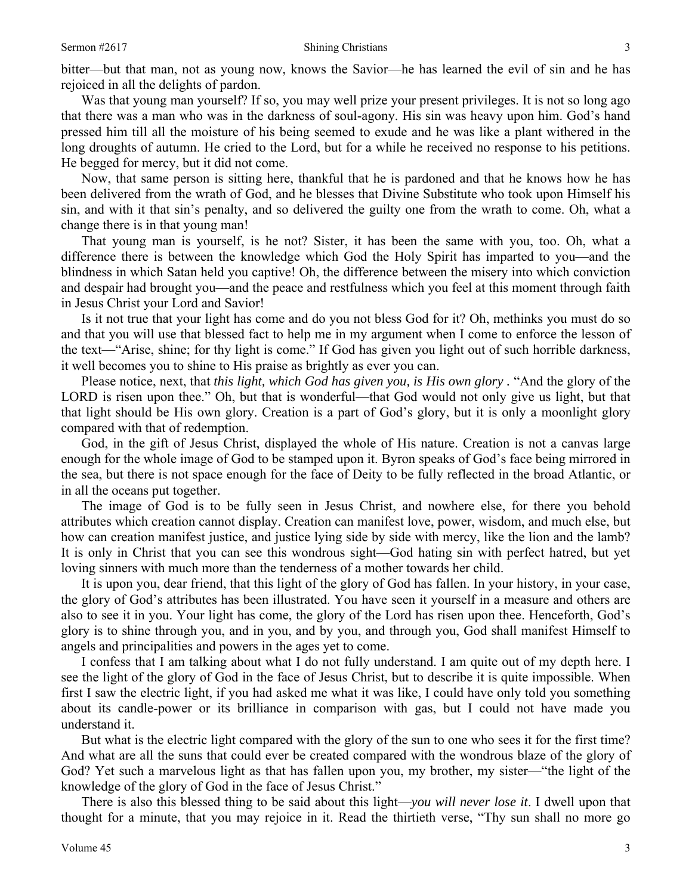bitter—but that man, not as young now, knows the Savior—he has learned the evil of sin and he has rejoiced in all the delights of pardon.

Was that young man yourself? If so, you may well prize your present privileges. It is not so long ago that there was a man who was in the darkness of soul-agony. His sin was heavy upon him. God's hand pressed him till all the moisture of his being seemed to exude and he was like a plant withered in the long droughts of autumn. He cried to the Lord, but for a while he received no response to his petitions. He begged for mercy, but it did not come.

Now, that same person is sitting here, thankful that he is pardoned and that he knows how he has been delivered from the wrath of God, and he blesses that Divine Substitute who took upon Himself his sin, and with it that sin's penalty, and so delivered the guilty one from the wrath to come. Oh, what a change there is in that young man!

That young man is yourself, is he not? Sister, it has been the same with you, too. Oh, what a difference there is between the knowledge which God the Holy Spirit has imparted to you—and the blindness in which Satan held you captive! Oh, the difference between the misery into which conviction and despair had brought you—and the peace and restfulness which you feel at this moment through faith in Jesus Christ your Lord and Savior!

Is it not true that your light has come and do you not bless God for it? Oh, methinks you must do so and that you will use that blessed fact to help me in my argument when I come to enforce the lesson of the text—"Arise, shine; for thy light is come." If God has given you light out of such horrible darkness, it well becomes you to shine to His praise as brightly as ever you can.

Please notice, next, that *this light, which God has given you, is His own glory .* "And the glory of the LORD is risen upon thee." Oh, but that is wonderful—that God would not only give us light, but that that light should be His own glory. Creation is a part of God's glory, but it is only a moonlight glory compared with that of redemption.

God, in the gift of Jesus Christ, displayed the whole of His nature. Creation is not a canvas large enough for the whole image of God to be stamped upon it. Byron speaks of God's face being mirrored in the sea, but there is not space enough for the face of Deity to be fully reflected in the broad Atlantic, or in all the oceans put together.

The image of God is to be fully seen in Jesus Christ, and nowhere else, for there you behold attributes which creation cannot display. Creation can manifest love, power, wisdom, and much else, but how can creation manifest justice, and justice lying side by side with mercy, like the lion and the lamb? It is only in Christ that you can see this wondrous sight—God hating sin with perfect hatred, but yet loving sinners with much more than the tenderness of a mother towards her child.

It is upon you, dear friend, that this light of the glory of God has fallen. In your history, in your case, the glory of God's attributes has been illustrated. You have seen it yourself in a measure and others are also to see it in you. Your light has come, the glory of the Lord has risen upon thee. Henceforth, God's glory is to shine through you, and in you, and by you, and through you, God shall manifest Himself to angels and principalities and powers in the ages yet to come.

I confess that I am talking about what I do not fully understand. I am quite out of my depth here. I see the light of the glory of God in the face of Jesus Christ, but to describe it is quite impossible. When first I saw the electric light, if you had asked me what it was like, I could have only told you something about its candle-power or its brilliance in comparison with gas, but I could not have made you understand it.

But what is the electric light compared with the glory of the sun to one who sees it for the first time? And what are all the suns that could ever be created compared with the wondrous blaze of the glory of God? Yet such a marvelous light as that has fallen upon you, my brother, my sister—"the light of the knowledge of the glory of God in the face of Jesus Christ."

There is also this blessed thing to be said about this light—*you will never lose it*. I dwell upon that thought for a minute, that you may rejoice in it. Read the thirtieth verse, "Thy sun shall no more go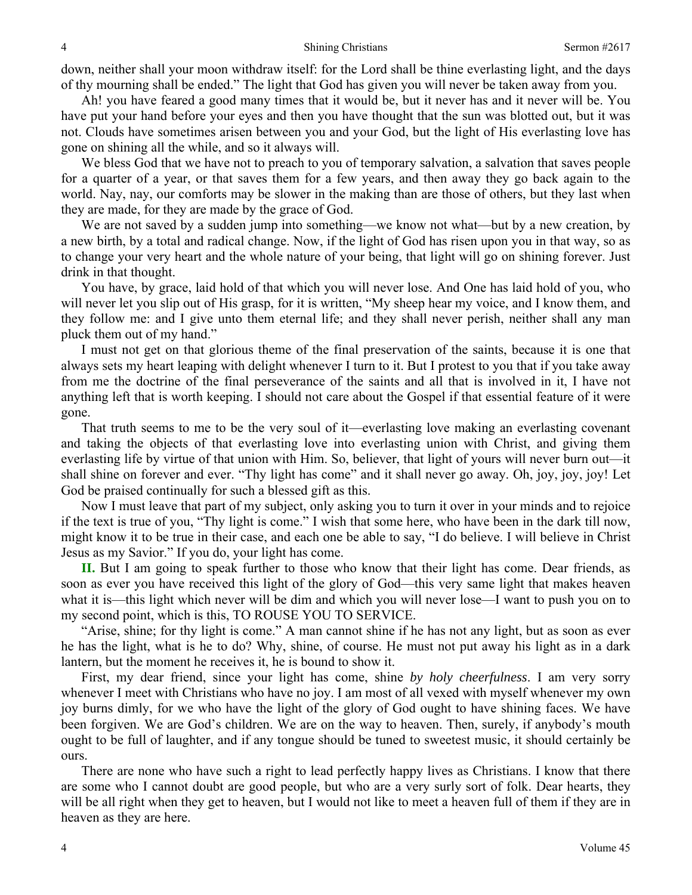down, neither shall your moon withdraw itself: for the Lord shall be thine everlasting light, and the days of thy mourning shall be ended." The light that God has given you will never be taken away from you.

Ah! you have feared a good many times that it would be, but it never has and it never will be. You have put your hand before your eyes and then you have thought that the sun was blotted out, but it was not. Clouds have sometimes arisen between you and your God, but the light of His everlasting love has gone on shining all the while, and so it always will.

We bless God that we have not to preach to you of temporary salvation, a salvation that saves people for a quarter of a year, or that saves them for a few years, and then away they go back again to the world. Nay, nay, our comforts may be slower in the making than are those of others, but they last when they are made, for they are made by the grace of God.

We are not saved by a sudden jump into something—we know not what—but by a new creation, by a new birth, by a total and radical change. Now, if the light of God has risen upon you in that way, so as to change your very heart and the whole nature of your being, that light will go on shining forever. Just drink in that thought.

You have, by grace, laid hold of that which you will never lose. And One has laid hold of you, who will never let you slip out of His grasp, for it is written, "My sheep hear my voice, and I know them, and they follow me: and I give unto them eternal life; and they shall never perish, neither shall any man pluck them out of my hand."

I must not get on that glorious theme of the final preservation of the saints, because it is one that always sets my heart leaping with delight whenever I turn to it. But I protest to you that if you take away from me the doctrine of the final perseverance of the saints and all that is involved in it, I have not anything left that is worth keeping. I should not care about the Gospel if that essential feature of it were gone.

That truth seems to me to be the very soul of it—everlasting love making an everlasting covenant and taking the objects of that everlasting love into everlasting union with Christ, and giving them everlasting life by virtue of that union with Him. So, believer, that light of yours will never burn out—it shall shine on forever and ever. "Thy light has come" and it shall never go away. Oh, joy, joy, joy! Let God be praised continually for such a blessed gift as this.

Now I must leave that part of my subject, only asking you to turn it over in your minds and to rejoice if the text is true of you, "Thy light is come." I wish that some here, who have been in the dark till now, might know it to be true in their case, and each one be able to say, "I do believe. I will believe in Christ Jesus as my Savior." If you do, your light has come.

**II.** But I am going to speak further to those who know that their light has come. Dear friends, as soon as ever you have received this light of the glory of God—this very same light that makes heaven what it is—this light which never will be dim and which you will never lose—I want to push you on to my second point, which is this, TO ROUSE YOU TO SERVICE.

"Arise, shine; for thy light is come." A man cannot shine if he has not any light, but as soon as ever he has the light, what is he to do? Why, shine, of course. He must not put away his light as in a dark lantern, but the moment he receives it, he is bound to show it.

First, my dear friend, since your light has come, shine *by holy cheerfulness*. I am very sorry whenever I meet with Christians who have no joy. I am most of all vexed with myself whenever my own joy burns dimly, for we who have the light of the glory of God ought to have shining faces. We have been forgiven. We are God's children. We are on the way to heaven. Then, surely, if anybody's mouth ought to be full of laughter, and if any tongue should be tuned to sweetest music, it should certainly be ours.

There are none who have such a right to lead perfectly happy lives as Christians. I know that there are some who I cannot doubt are good people, but who are a very surly sort of folk. Dear hearts, they will be all right when they get to heaven, but I would not like to meet a heaven full of them if they are in heaven as they are here.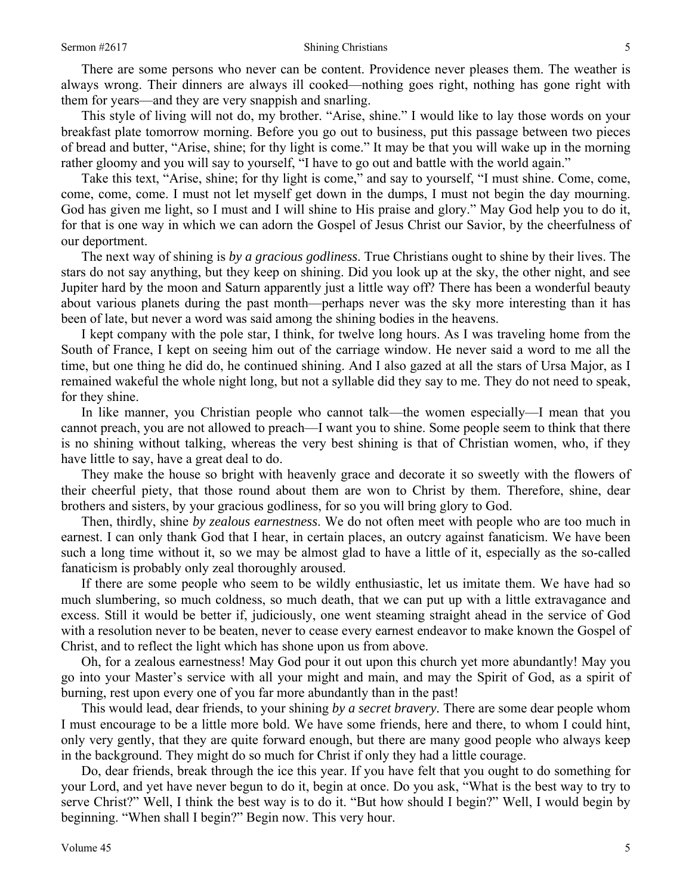There are some persons who never can be content. Providence never pleases them. The weather is always wrong. Their dinners are always ill cooked—nothing goes right, nothing has gone right with them for years—and they are very snappish and snarling.

This style of living will not do, my brother. "Arise, shine." I would like to lay those words on your breakfast plate tomorrow morning. Before you go out to business, put this passage between two pieces of bread and butter, "Arise, shine; for thy light is come." It may be that you will wake up in the morning rather gloomy and you will say to yourself, "I have to go out and battle with the world again."

Take this text, "Arise, shine; for thy light is come," and say to yourself, "I must shine. Come, come, come, come, come. I must not let myself get down in the dumps, I must not begin the day mourning. God has given me light, so I must and I will shine to His praise and glory." May God help you to do it, for that is one way in which we can adorn the Gospel of Jesus Christ our Savior, by the cheerfulness of our deportment.

The next way of shining is *by a gracious godliness*. True Christians ought to shine by their lives. The stars do not say anything, but they keep on shining. Did you look up at the sky, the other night, and see Jupiter hard by the moon and Saturn apparently just a little way off? There has been a wonderful beauty about various planets during the past month—perhaps never was the sky more interesting than it has been of late, but never a word was said among the shining bodies in the heavens.

I kept company with the pole star, I think, for twelve long hours. As I was traveling home from the South of France, I kept on seeing him out of the carriage window. He never said a word to me all the time, but one thing he did do, he continued shining. And I also gazed at all the stars of Ursa Major, as I remained wakeful the whole night long, but not a syllable did they say to me. They do not need to speak, for they shine.

In like manner, you Christian people who cannot talk—the women especially—I mean that you cannot preach, you are not allowed to preach—I want you to shine. Some people seem to think that there is no shining without talking, whereas the very best shining is that of Christian women, who, if they have little to say, have a great deal to do.

They make the house so bright with heavenly grace and decorate it so sweetly with the flowers of their cheerful piety, that those round about them are won to Christ by them. Therefore, shine, dear brothers and sisters, by your gracious godliness, for so you will bring glory to God.

Then, thirdly, shine *by zealous earnestness*. We do not often meet with people who are too much in earnest. I can only thank God that I hear, in certain places, an outcry against fanaticism. We have been such a long time without it, so we may be almost glad to have a little of it, especially as the so-called fanaticism is probably only zeal thoroughly aroused.

If there are some people who seem to be wildly enthusiastic, let us imitate them. We have had so much slumbering, so much coldness, so much death, that we can put up with a little extravagance and excess. Still it would be better if, judiciously, one went steaming straight ahead in the service of God with a resolution never to be beaten, never to cease every earnest endeavor to make known the Gospel of Christ, and to reflect the light which has shone upon us from above.

Oh, for a zealous earnestness! May God pour it out upon this church yet more abundantly! May you go into your Master's service with all your might and main, and may the Spirit of God, as a spirit of burning, rest upon every one of you far more abundantly than in the past!

This would lead, dear friends, to your shining *by a secret bravery.* There are some dear people whom I must encourage to be a little more bold. We have some friends, here and there, to whom I could hint, only very gently, that they are quite forward enough, but there are many good people who always keep in the background. They might do so much for Christ if only they had a little courage.

Do, dear friends, break through the ice this year. If you have felt that you ought to do something for your Lord, and yet have never begun to do it, begin at once. Do you ask, "What is the best way to try to serve Christ?" Well, I think the best way is to do it. "But how should I begin?" Well, I would begin by beginning. "When shall I begin?" Begin now. This very hour.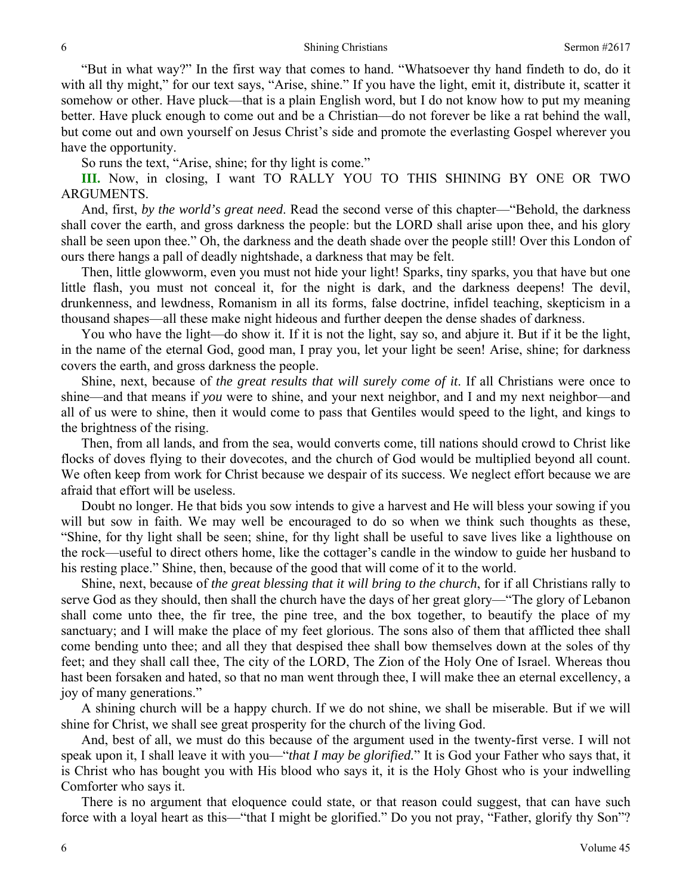"But in what way?" In the first way that comes to hand. "Whatsoever thy hand findeth to do, do it with all thy might," for our text says, "Arise, shine." If you have the light, emit it, distribute it, scatter it somehow or other. Have pluck—that is a plain English word, but I do not know how to put my meaning better. Have pluck enough to come out and be a Christian—do not forever be like a rat behind the wall, but come out and own yourself on Jesus Christ's side and promote the everlasting Gospel wherever you have the opportunity.

So runs the text, "Arise, shine; for thy light is come."

**III.** Now, in closing, I want TO RALLY YOU TO THIS SHINING BY ONE OR TWO ARGUMENTS.

And, first, *by the world's great need*. Read the second verse of this chapter—"Behold, the darkness shall cover the earth, and gross darkness the people: but the LORD shall arise upon thee, and his glory shall be seen upon thee." Oh, the darkness and the death shade over the people still! Over this London of ours there hangs a pall of deadly nightshade, a darkness that may be felt.

Then, little glowworm, even you must not hide your light! Sparks, tiny sparks, you that have but one little flash, you must not conceal it, for the night is dark, and the darkness deepens! The devil, drunkenness, and lewdness, Romanism in all its forms, false doctrine, infidel teaching, skepticism in a thousand shapes—all these make night hideous and further deepen the dense shades of darkness.

You who have the light—do show it. If it is not the light, say so, and abjure it. But if it be the light, in the name of the eternal God, good man, I pray you, let your light be seen! Arise, shine; for darkness covers the earth, and gross darkness the people.

Shine, next, because of *the great results that will surely come of it*. If all Christians were once to shine—and that means if *you* were to shine, and your next neighbor, and I and my next neighbor—and all of us were to shine, then it would come to pass that Gentiles would speed to the light, and kings to the brightness of the rising.

Then, from all lands, and from the sea, would converts come, till nations should crowd to Christ like flocks of doves flying to their dovecotes, and the church of God would be multiplied beyond all count. We often keep from work for Christ because we despair of its success. We neglect effort because we are afraid that effort will be useless.

Doubt no longer. He that bids you sow intends to give a harvest and He will bless your sowing if you will but sow in faith. We may well be encouraged to do so when we think such thoughts as these, "Shine, for thy light shall be seen; shine, for thy light shall be useful to save lives like a lighthouse on the rock—useful to direct others home, like the cottager's candle in the window to guide her husband to his resting place." Shine, then, because of the good that will come of it to the world.

Shine, next, because of *the great blessing that it will bring to the church*, for if all Christians rally to serve God as they should, then shall the church have the days of her great glory—"The glory of Lebanon shall come unto thee, the fir tree, the pine tree, and the box together, to beautify the place of my sanctuary; and I will make the place of my feet glorious. The sons also of them that afflicted thee shall come bending unto thee; and all they that despised thee shall bow themselves down at the soles of thy feet; and they shall call thee, The city of the LORD, The Zion of the Holy One of Israel. Whereas thou hast been forsaken and hated, so that no man went through thee, I will make thee an eternal excellency, a joy of many generations."

A shining church will be a happy church. If we do not shine, we shall be miserable. But if we will shine for Christ, we shall see great prosperity for the church of the living God.

And, best of all, we must do this because of the argument used in the twenty-first verse. I will not speak upon it, I shall leave it with you—"*that I may be glorified.*" It is God your Father who says that, it is Christ who has bought you with His blood who says it, it is the Holy Ghost who is your indwelling Comforter who says it.

There is no argument that eloquence could state, or that reason could suggest, that can have such force with a loyal heart as this—"that I might be glorified." Do you not pray, "Father, glorify thy Son"?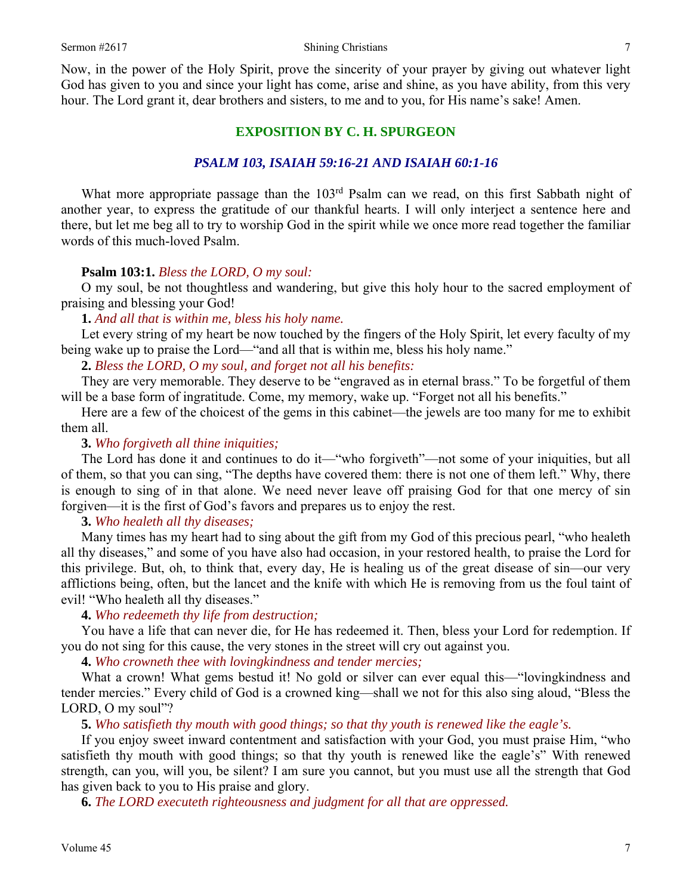Now, in the power of the Holy Spirit, prove the sincerity of your prayer by giving out whatever light God has given to you and since your light has come, arise and shine, as you have ability, from this very hour. The Lord grant it, dear brothers and sisters, to me and to you, for His name's sake! Amen.

### **EXPOSITION BY C. H. SPURGEON**

### *PSALM 103, ISAIAH 59:16-21 AND ISAIAH 60:1-16*

What more appropriate passage than the 103<sup>rd</sup> Psalm can we read, on this first Sabbath night of another year, to express the gratitude of our thankful hearts. I will only interject a sentence here and there, but let me beg all to try to worship God in the spirit while we once more read together the familiar words of this much-loved Psalm.

#### **Psalm 103:1.** *Bless the LORD, O my soul:*

O my soul, be not thoughtless and wandering, but give this holy hour to the sacred employment of praising and blessing your God!

### **1.** *And all that is within me, bless his holy name.*

Let every string of my heart be now touched by the fingers of the Holy Spirit, let every faculty of my being wake up to praise the Lord—"and all that is within me, bless his holy name."

### **2.** *Bless the LORD, O my soul, and forget not all his benefits:*

They are very memorable. They deserve to be "engraved as in eternal brass." To be forgetful of them will be a base form of ingratitude. Come, my memory, wake up. "Forget not all his benefits."

Here are a few of the choicest of the gems in this cabinet—the jewels are too many for me to exhibit them all.

### **3.** *Who forgiveth all thine iniquities;*

The Lord has done it and continues to do it—"who forgiveth"—not some of your iniquities, but all of them, so that you can sing, "The depths have covered them: there is not one of them left." Why, there is enough to sing of in that alone. We need never leave off praising God for that one mercy of sin forgiven—it is the first of God's favors and prepares us to enjoy the rest.

### **3.** *Who healeth all thy diseases;*

Many times has my heart had to sing about the gift from my God of this precious pearl, "who healeth all thy diseases," and some of you have also had occasion, in your restored health, to praise the Lord for this privilege. But, oh, to think that, every day, He is healing us of the great disease of sin—our very afflictions being, often, but the lancet and the knife with which He is removing from us the foul taint of evil! "Who healeth all thy diseases."

### **4.** *Who redeemeth thy life from destruction;*

You have a life that can never die, for He has redeemed it. Then, bless your Lord for redemption. If you do not sing for this cause, the very stones in the street will cry out against you.

**4.** *Who crowneth thee with lovingkindness and tender mercies;* 

What a crown! What gems bestud it! No gold or silver can ever equal this—"loving kindness and tender mercies." Every child of God is a crowned king—shall we not for this also sing aloud, "Bless the LORD, O my soul"?

#### **5.** *Who satisfieth thy mouth with good things; so that thy youth is renewed like the eagle's.*

If you enjoy sweet inward contentment and satisfaction with your God, you must praise Him, "who satisfieth thy mouth with good things; so that thy youth is renewed like the eagle's" With renewed strength, can you, will you, be silent? I am sure you cannot, but you must use all the strength that God has given back to you to His praise and glory.

**6.** *The LORD executeth righteousness and judgment for all that are oppressed.*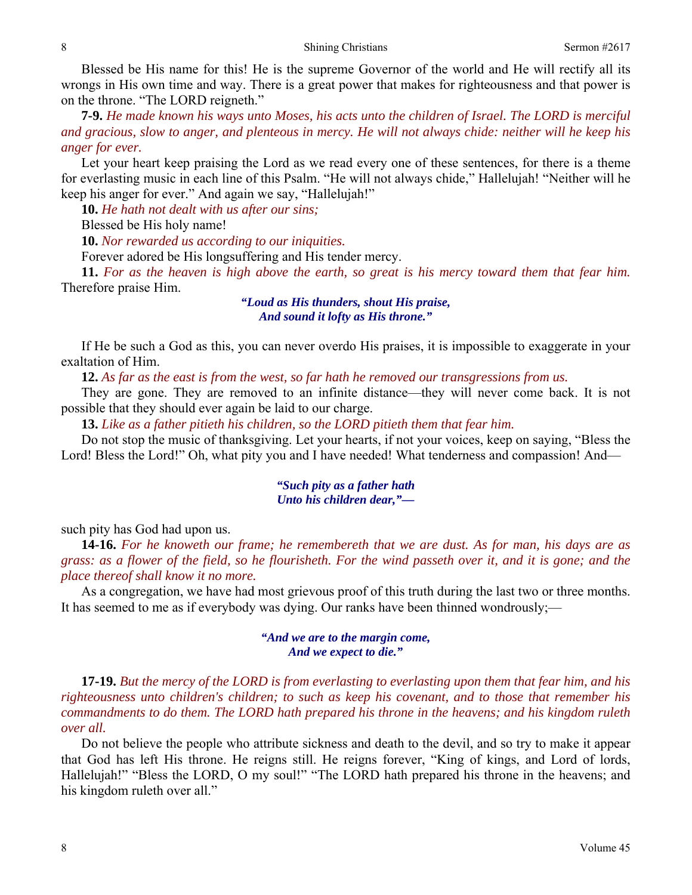Blessed be His name for this! He is the supreme Governor of the world and He will rectify all its wrongs in His own time and way. There is a great power that makes for righteousness and that power is on the throne. "The LORD reigneth."

**7-9.** *He made known his ways unto Moses, his acts unto the children of Israel. The LORD is merciful and gracious, slow to anger, and plenteous in mercy. He will not always chide: neither will he keep his anger for ever.* 

Let your heart keep praising the Lord as we read every one of these sentences, for there is a theme for everlasting music in each line of this Psalm. "He will not always chide," Hallelujah! "Neither will he keep his anger for ever." And again we say, "Hallelujah!"

**10.** *He hath not dealt with us after our sins;* 

Blessed be His holy name!

**10.** *Nor rewarded us according to our iniquities.* 

Forever adored be His longsuffering and His tender mercy.

**11.** *For as the heaven is high above the earth, so great is his mercy toward them that fear him.*  Therefore praise Him.

### *"Loud as His thunders, shout His praise, And sound it lofty as His throne."*

If He be such a God as this, you can never overdo His praises, it is impossible to exaggerate in your exaltation of Him.

**12.** *As far as the east is from the west, so far hath he removed our transgressions from us.* 

They are gone. They are removed to an infinite distance—they will never come back. It is not possible that they should ever again be laid to our charge.

**13.** *Like as a father pitieth his children, so the LORD pitieth them that fear him.* 

Do not stop the music of thanksgiving. Let your hearts, if not your voices, keep on saying, "Bless the Lord! Bless the Lord!" Oh, what pity you and I have needed! What tenderness and compassion! And—

### *"Such pity as a father hath Unto his children dear,"—*

such pity has God had upon us.

**14-16.** *For he knoweth our frame; he remembereth that we are dust. As for man, his days are as grass: as a flower of the field, so he flourisheth. For the wind passeth over it, and it is gone; and the place thereof shall know it no more.* 

As a congregation, we have had most grievous proof of this truth during the last two or three months. It has seemed to me as if everybody was dying. Our ranks have been thinned wondrously;—

### *"And we are to the margin come, And we expect to die."*

**17-19.** *But the mercy of the LORD is from everlasting to everlasting upon them that fear him, and his righteousness unto children's children; to such as keep his covenant, and to those that remember his commandments to do them. The LORD hath prepared his throne in the heavens; and his kingdom ruleth over all.* 

Do not believe the people who attribute sickness and death to the devil, and so try to make it appear that God has left His throne. He reigns still. He reigns forever, "King of kings, and Lord of lords, Hallelujah!" "Bless the LORD, O my soul!" "The LORD hath prepared his throne in the heavens; and his kingdom ruleth over all."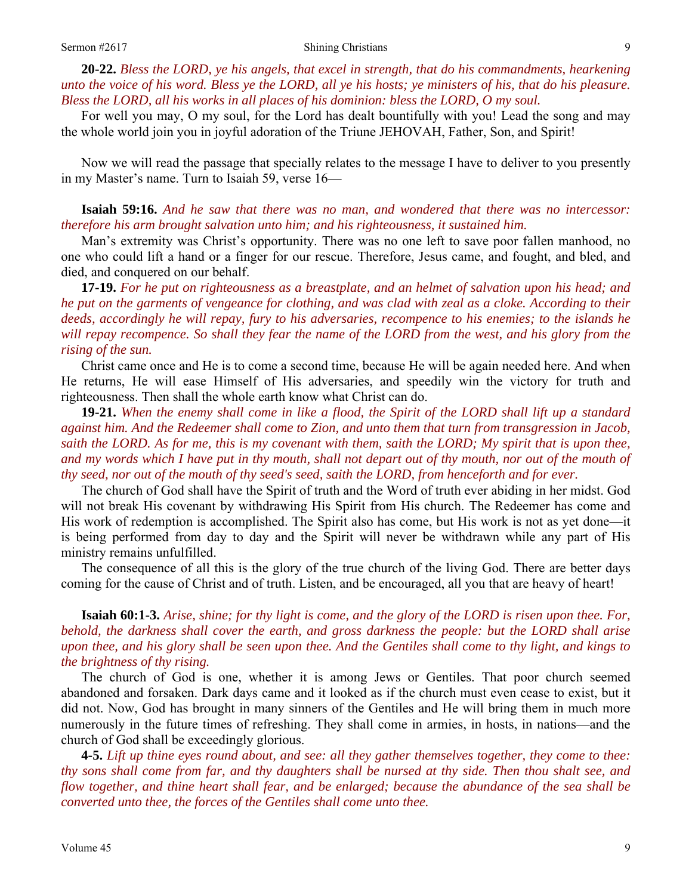**20-22.** *Bless the LORD, ye his angels, that excel in strength, that do his commandments, hearkening unto the voice of his word. Bless ye the LORD, all ye his hosts; ye ministers of his, that do his pleasure. Bless the LORD, all his works in all places of his dominion: bless the LORD, O my soul.* 

For well you may, O my soul, for the Lord has dealt bountifully with you! Lead the song and may the whole world join you in joyful adoration of the Triune JEHOVAH, Father, Son, and Spirit!

Now we will read the passage that specially relates to the message I have to deliver to you presently in my Master's name. Turn to Isaiah 59, verse 16—

### **Isaiah 59:16.** *And he saw that there was no man, and wondered that there was no intercessor: therefore his arm brought salvation unto him; and his righteousness, it sustained him.*

Man's extremity was Christ's opportunity. There was no one left to save poor fallen manhood, no one who could lift a hand or a finger for our rescue. Therefore, Jesus came, and fought, and bled, and died, and conquered on our behalf.

**17-19.** *For he put on righteousness as a breastplate, and an helmet of salvation upon his head; and he put on the garments of vengeance for clothing, and was clad with zeal as a cloke. According to their deeds, accordingly he will repay, fury to his adversaries, recompence to his enemies; to the islands he*  will repay recompence. So shall they fear the name of the LORD from the west, and his glory from the *rising of the sun.* 

Christ came once and He is to come a second time, because He will be again needed here. And when He returns, He will ease Himself of His adversaries, and speedily win the victory for truth and righteousness. Then shall the whole earth know what Christ can do.

**19-21.** *When the enemy shall come in like a flood, the Spirit of the LORD shall lift up a standard against him. And the Redeemer shall come to Zion, and unto them that turn from transgression in Jacob, saith the LORD. As for me, this is my covenant with them, saith the LORD; My spirit that is upon thee,*  and my words which I have put in thy mouth, shall not depart out of thy mouth, nor out of the mouth of *thy seed, nor out of the mouth of thy seed's seed, saith the LORD, from henceforth and for ever.* 

The church of God shall have the Spirit of truth and the Word of truth ever abiding in her midst. God will not break His covenant by withdrawing His Spirit from His church. The Redeemer has come and His work of redemption is accomplished. The Spirit also has come, but His work is not as yet done—it is being performed from day to day and the Spirit will never be withdrawn while any part of His ministry remains unfulfilled.

The consequence of all this is the glory of the true church of the living God. There are better days coming for the cause of Christ and of truth. Listen, and be encouraged, all you that are heavy of heart!

## **Isaiah 60:1-3.** *Arise, shine; for thy light is come, and the glory of the LORD is risen upon thee. For, behold, the darkness shall cover the earth, and gross darkness the people: but the LORD shall arise upon thee, and his glory shall be seen upon thee. And the Gentiles shall come to thy light, and kings to the brightness of thy rising.*

The church of God is one, whether it is among Jews or Gentiles. That poor church seemed abandoned and forsaken. Dark days came and it looked as if the church must even cease to exist, but it did not. Now, God has brought in many sinners of the Gentiles and He will bring them in much more numerously in the future times of refreshing. They shall come in armies, in hosts, in nations—and the church of God shall be exceedingly glorious.

**4-5.** *Lift up thine eyes round about, and see: all they gather themselves together, they come to thee: thy sons shall come from far, and thy daughters shall be nursed at thy side. Then thou shalt see, and flow together, and thine heart shall fear, and be enlarged; because the abundance of the sea shall be converted unto thee, the forces of the Gentiles shall come unto thee.*